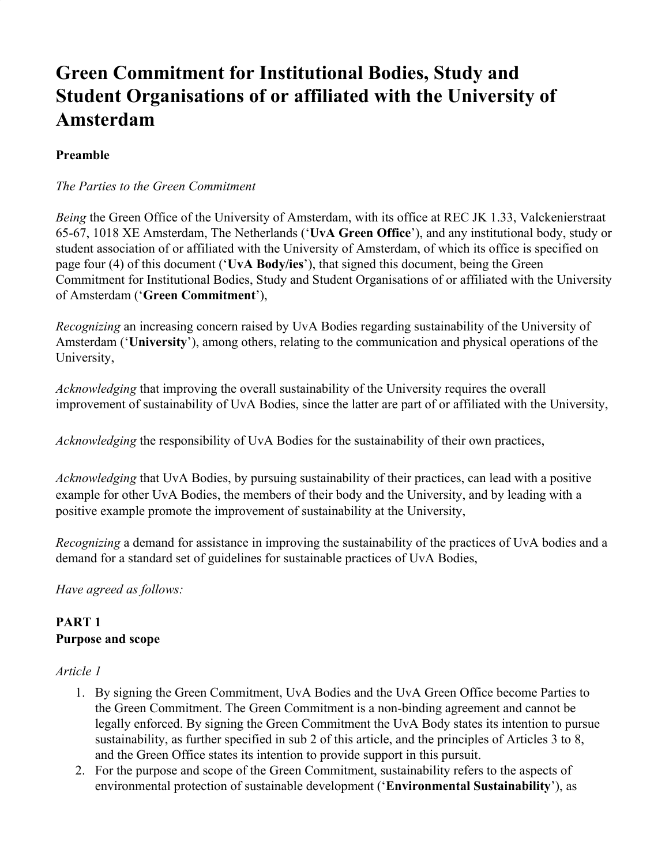# **Green Commitment for Institutional Bodies, Study and Student Organisations of or affiliated with the University of Amsterdam**

### **Preamble**

#### *The Parties to the Green Commitment*

*Being* the Green Office of the University of Amsterdam, with its office at REC JK 1.33, Valckenierstraat 65-67, 1018 XE Amsterdam, The Netherlands ('**UvA Green Office**'), and any institutional body, study or student association of or affiliated with the University of Amsterdam, of which its office is specified on page four (4) of this document ('**UvA Body/ies**'), that signed this document, being the Green Commitment for Institutional Bodies, Study and Student Organisations of or affiliated with the University of Amsterdam ('**Green Commitment**'),

*Recognizing* an increasing concern raised by UvA Bodies regarding sustainability of the University of Amsterdam ('**University**'), among others, relating to the communication and physical operations of the University,

*Acknowledging* that improving the overall sustainability of the University requires the overall improvement of sustainability of UvA Bodies, since the latter are part of or affiliated with the University,

*Acknowledging* the responsibility of UvA Bodies for the sustainability of their own practices,

*Acknowledging* that UvA Bodies, by pursuing sustainability of their practices, can lead with a positive example for other UvA Bodies, the members of their body and the University, and by leading with a positive example promote the improvement of sustainability at the University,

*Recognizing* a demand for assistance in improving the sustainability of the practices of UvA bodies and a demand for a standard set of guidelines for sustainable practices of UvA Bodies,

*Have agreed as follows:*

### **PART 1 Purpose and scope**

#### *Article 1*

- 1. By signing the Green Commitment, UvA Bodies and the UvA Green Office become Parties to the Green Commitment. The Green Commitment is a non-binding agreement and cannot be legally enforced. By signing the Green Commitment the UvA Body states its intention to pursue sustainability, as further specified in sub 2 of this article, and the principles of Articles 3 to 8, and the Green Office states its intention to provide support in this pursuit.
- 2. For the purpose and scope of the Green Commitment, sustainability refers to the aspects of environmental protection of sustainable development ('**Environmental Sustainability**'), as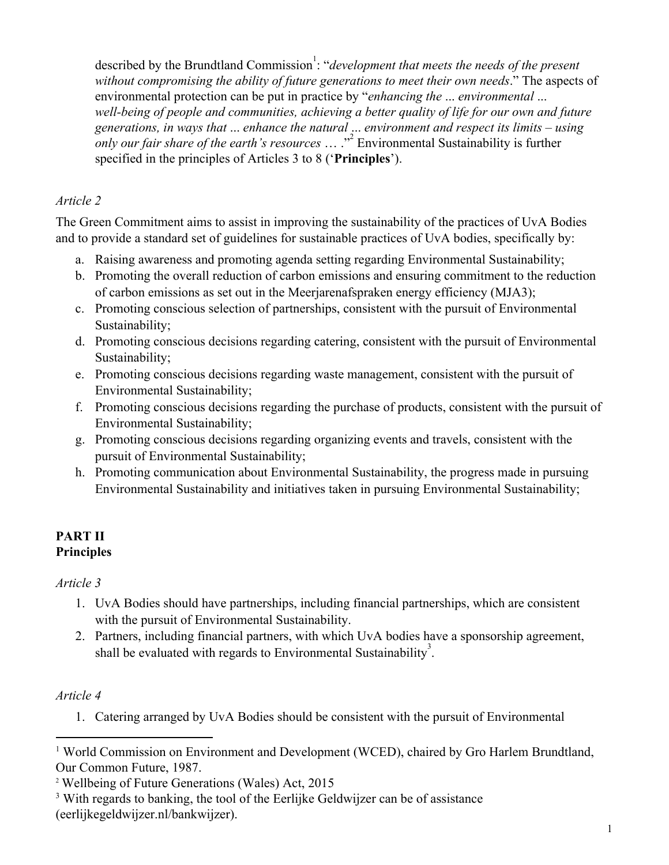described by the Brundtland Commission<sup>1</sup>: "*development that meets the needs of the present without compromising the ability of future generations to meet their own needs*." The aspects of environmental protection can be put in practice by "*enhancing the* ... *environmental* ... *well-being of people and communities, achieving a better quality of life for our own and future generations, in ways that* ... *enhance the natural* ... *environment and respect its limits – using only our fair share of the earth's resources* ... ."<sup>2</sup> Environmental Sustainability is further specified in the principles of Articles 3 to 8 ('**Principles**').

### *Article 2*

The Green Commitment aims to assist in improving the sustainability of the practices of UvA Bodies and to provide a standard set of guidelines for sustainable practices of UvA bodies, specifically by:

- a. Raising awareness and promoting agenda setting regarding Environmental Sustainability;
- b. Promoting the overall reduction of carbon emissions and ensuring commitment to the reduction of carbon emissions as set out in the Meerjarenafspraken energy efficiency (MJA3);
- c. Promoting conscious selection of partnerships, consistent with the pursuit of Environmental Sustainability;
- d. Promoting conscious decisions regarding catering, consistent with the pursuit of Environmental Sustainability;
- e. Promoting conscious decisions regarding waste management, consistent with the pursuit of Environmental Sustainability;
- f. Promoting conscious decisions regarding the purchase of products, consistent with the pursuit of Environmental Sustainability;
- g. Promoting conscious decisions regarding organizing events and travels, consistent with the pursuit of Environmental Sustainability;
- h. Promoting communication about Environmental Sustainability, the progress made in pursuing Environmental Sustainability and initiatives taken in pursuing Environmental Sustainability;

### **PART II Principles**

### *Article 3*

- 1. UvA Bodies should have partnerships, including financial partnerships, which are consistent with the pursuit of Environmental Sustainability.
- 2. Partners, including financial partners, with which UvA bodies have a sponsorship agreement, shall be evaluated with regards to Environmental Sustainability<sup>3</sup>.

# *Article 4*

1. Catering arranged by UvA Bodies should be consistent with the pursuit of Environmental

<sup>&</sup>lt;sup>1</sup> World Commission on Environment and Development (WCED), chaired by Gro Harlem Brundtland, Our Common Future, 1987.

<sup>2</sup> Wellbeing of Future Generations (Wales) Act, 2015

<sup>&</sup>lt;sup>3</sup> With regards to banking, the tool of the Eerlijke Geldwijzer can be of assistance (eerlijkegeldwijzer.nl/bankwijzer[\)](https://eerlijkegeldwijzer.nl/).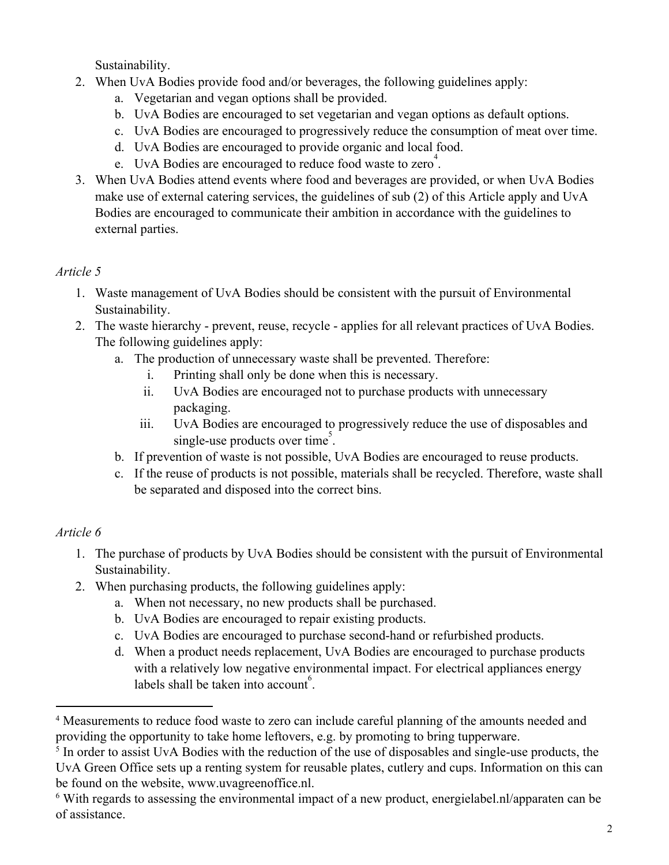Sustainability.

- 2. When UvA Bodies provide food and/or beverages, the following guidelines apply:
	- a. Vegetarian and vegan options shall be provided.
	- b. UvA Bodies are encouraged to set vegetarian and vegan options as default options.
	- c. UvA Bodies are encouraged to progressively reduce the consumption of meat over time.
	- d. UvA Bodies are encouraged to provide organic and local food.
	- e. UvA Bodies are encouraged to reduce food waste to zero<sup>4</sup>.
- 3. When UvA Bodies attend events where food and beverages are provided, or when UvA Bodies make use of external catering services, the guidelines of sub (2) of this Article apply and UvA Bodies are encouraged to communicate their ambition in accordance with the guidelines to external parties.

# *Article 5*

- 1. Waste management of UvA Bodies should be consistent with the pursuit of Environmental Sustainability.
- 2. The waste hierarchy prevent, reuse, recycle applies for all relevant practices of UvA Bodies. The following guidelines apply:
	- a. The production of unnecessary waste shall be prevented. Therefore:
		- i. Printing shall only be done when this is necessary.
		- ii. UvA Bodies are encouraged not to purchase products with unnecessary packaging.
		- iii. UvA Bodies are encouraged to progressively reduce the use of disposables and single-use products over time<sup>5</sup>.
	- b. If prevention of waste is not possible, UvA Bodies are encouraged to reuse products.
	- c. If the reuse of products is not possible, materials shall be recycled. Therefore, waste shall be separated and disposed into the correct bins.

# *Article 6*

- 1. The purchase of products by UvA Bodies should be consistent with the pursuit of Environmental Sustainability.
- 2. When purchasing products, the following guidelines apply:
	- a. When not necessary, no new products shall be purchased.
	- b. UvA Bodies are encouraged to repair existing products.
	- c. UvA Bodies are encouraged to purchase second-hand or refurbished products.
	- d. When a product needs replacement, UvA Bodies are encouraged to purchase products with a relatively low negative environmental impact. For electrical appliances energy labels shall be taken into account<sup>6</sup>.

<sup>&</sup>lt;sup>4</sup> Measurements to reduce food waste to zero can include careful planning of the amounts needed and providing the opportunity to take home leftovers, e.g. by promoting to bring tupperware.

<sup>&</sup>lt;sup>5</sup> In order to assist UvA Bodies with the reduction of the use of disposables and single-use products, the UvA Green Office sets up a renting system for reusable plates, cutlery and cups. Information on this can be found on the website, www.uvagreenoffice.nl.

<sup>6</sup> With regards to assessing the environmental impact of a new product, [energielabel.nl/apparaten](http://www.energielabel.nl/apparaten) can be of assistance.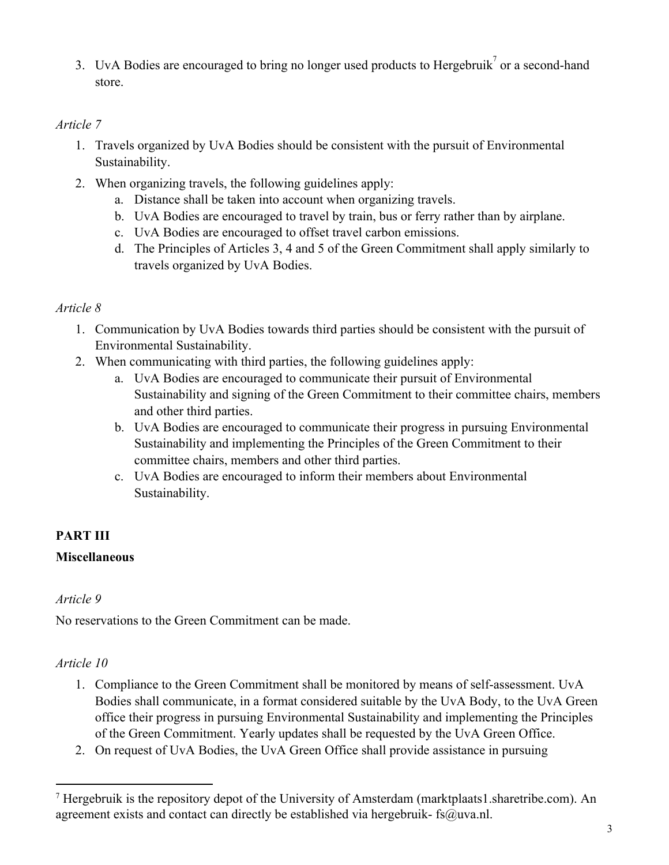3. UvA Bodies are encouraged to bring no longer used products to Hergebruik  $\sigma$  a second-hand store.

### *Article 7*

- 1. Travels organized by UvA Bodies should be consistent with the pursuit of Environmental Sustainability.
- 2. When organizing travels, the following guidelines apply:
	- a. Distance shall be taken into account when organizing travels.
	- b. UvA Bodies are encouraged to travel by train, bus or ferry rather than by airplane.
	- c. UvA Bodies are encouraged to offset travel carbon emissions.
	- d. The Principles of Articles 3, 4 and 5 of the Green Commitment shall apply similarly to travels organized by UvA Bodies.

### *Article 8*

- 1. Communication by UvA Bodies towards third parties should be consistent with the pursuit of Environmental Sustainability.
- 2. When communicating with third parties, the following guidelines apply:
	- a. UvA Bodies are encouraged to communicate their pursuit of Environmental Sustainability and signing of the Green Commitment to their committee chairs, members and other third parties.
	- b. UvA Bodies are encouraged to communicate their progress in pursuing Environmental Sustainability and implementing the Principles of the Green Commitment to their committee chairs, members and other third parties.
	- c. UvA Bodies are encouraged to inform their members about Environmental Sustainability.

# **PART III**

# **Miscellaneous**

### *Article 9*

No reservations to the Green Commitment can be made.

# *Article 10*

- 1. Compliance to the Green Commitment shall be monitored by means of self-assessment. UvA Bodies shall communicate, in a format considered suitable by the UvA Body, to the UvA Green office their progress in pursuing Environmental Sustainability and implementing the Principles of the Green Commitment. Yearly updates shall be requested by the UvA Green Office.
- 2. On request of UvA Bodies, the UvA Green Office shall provide assistance in pursuing

<sup>7</sup> [Hergebruik is the repository depot of the University of Amsterdam \(marktplaats1.sharetribe.com\).](https://marktplaats1.sharetribe.com/) An agreement exists and contact can directly be established via hergebruik- [fs@uva.nl.](mailto:fs@uva.nl)